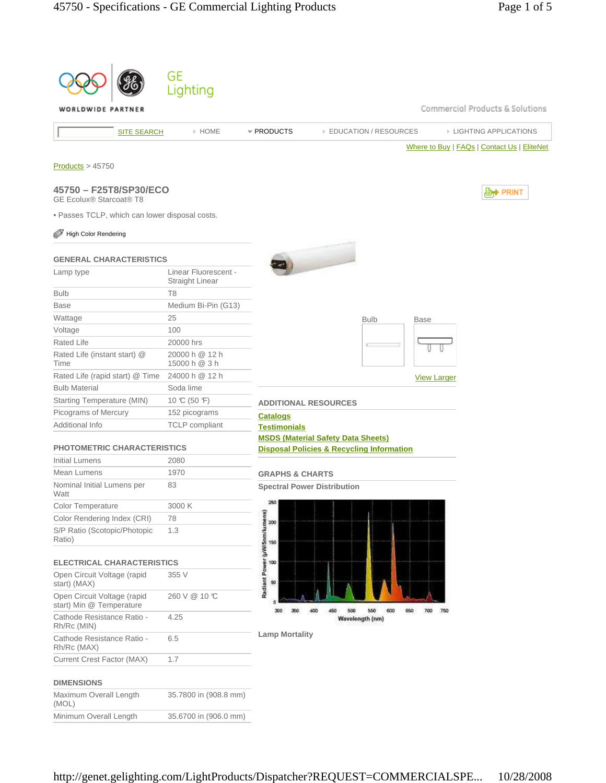|                                                                        | GE                              |                                                                                                   |
|------------------------------------------------------------------------|---------------------------------|---------------------------------------------------------------------------------------------------|
| WORLDWIDE PARTNER                                                      | Lighting                        | Commercial Products & Solutions                                                                   |
| <b>SITE SEARCH</b>                                                     | > HOME                          | * PRODUCTS<br><b>EIGHTING APPLICATIONS</b><br><b>EDUCATION / RESOURCES</b>                        |
|                                                                        |                                 | Where to Buy   FAQs   Contact Us   EliteNet                                                       |
| Products > 45750                                                       |                                 |                                                                                                   |
| 45750 - F25T8/SP30/ECO<br><b>GE Ecolux® Starcoat® T8</b>               |                                 | <b>D</b> <sup>→</sup> PRINT                                                                       |
| · Passes TCLP, which can lower disposal costs.<br>High Color Rendering |                                 |                                                                                                   |
|                                                                        |                                 |                                                                                                   |
| <b>GENERAL CHARACTERISTICS</b>                                         | Linear Fluorescent -            |                                                                                                   |
| Lamp type                                                              | Straight Linear                 |                                                                                                   |
| <b>Bulb</b>                                                            | T <sub>8</sub>                  |                                                                                                   |
| <b>Base</b>                                                            | Medium Bi-Pin (G13)             |                                                                                                   |
| Wattage                                                                | 25                              | <b>Bulb</b><br><b>Base</b>                                                                        |
| Voltage                                                                | 100                             |                                                                                                   |
| Rated Life                                                             | 20000 hrs                       |                                                                                                   |
| Rated Life (instant start) @<br>Time                                   | 20000 h @ 12 h<br>15000 h @ 3 h |                                                                                                   |
| Rated Life (rapid start) @ Time                                        | 24000 h @ 12 h                  | <b>View Larger</b>                                                                                |
| <b>Bulb Material</b>                                                   | Soda lime                       |                                                                                                   |
| Starting Temperature (MIN)                                             | 10 °C (50 °F)                   | <b>ADDITIONAL RESOURCES</b>                                                                       |
| Picograms of Mercury                                                   | 152 picograms                   | <b>Catalogs</b>                                                                                   |
| Additional Info                                                        | <b>TCLP</b> compliant           | <b>Testimonials</b>                                                                               |
| <b>PHOTOMETRIC CHARACTERISTICS</b>                                     |                                 | <b>MSDS (Material Safety Data Sheets)</b><br><b>Disposal Policies &amp; Recycling Information</b> |
| <b>Initial Lumens</b>                                                  | 2080                            |                                                                                                   |
| Mean Lumens                                                            | 1970                            | <b>GRAPHS &amp; CHARTS</b>                                                                        |
| Nominal Initial Lumens per<br>Watt                                     | 83                              | <b>Spectral Power Distribution</b>                                                                |
| Color Temperature                                                      | 3000 K                          | 260                                                                                               |
| Color Rendering Index (CRI)                                            | 78                              |                                                                                                   |
| S/P Ratio (Scotopic/Photopic<br>Ratio)                                 | 1.3                             |                                                                                                   |
| <b>ELECTRICAL CHARACTERISTICS</b>                                      |                                 |                                                                                                   |
| Open Circuit Voltage (rapid<br>start) (MAX)                            | 355 V                           | Radiant Power (µWi5nm/lumens)<br>8 ಕಿ ಕೆ ಶ                                                        |
| Open Circuit Voltage (rapid<br>start) Min @ Temperature                | 260 V @ 10 ℃                    | 450                                                                                               |
| Cathode Resistance Ratio -<br>Rh/Rc (MIN)                              | 4.25                            | 500<br>550<br>600<br>300<br>400<br>650<br>700<br>750<br>350<br>Wavelength (nm)                    |
| Cathode Resistance Ratio -<br>Rh/Rc (MAX)                              | 6.5                             | <b>Lamp Mortality</b>                                                                             |
| <b>Current Crest Factor (MAX)</b>                                      | 1.7                             |                                                                                                   |
| <b>DIMENSIONS</b>                                                      |                                 |                                                                                                   |
| Maximum Overall Length<br>(MOL)                                        | 35.7800 in (908.8 mm)           |                                                                                                   |
| Minimum Overall Length                                                 | 35.6700 in (906.0 mm)           |                                                                                                   |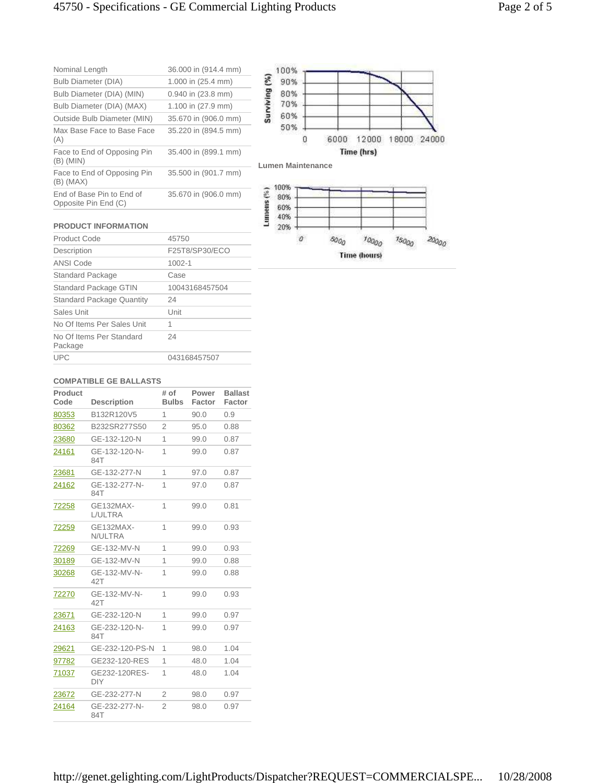| Nominal Length                                    | 36.000 in (914.4 mm) | 100%                      |   |      |            |       |       |
|---------------------------------------------------|----------------------|---------------------------|---|------|------------|-------|-------|
| Bulb Diameter (DIA)                               | 1.000 in (25.4 mm)   | 90%                       |   |      |            |       |       |
| Bulb Diameter (DIA) (MIN)                         | 0.940 in (23.8 mm)   | ē<br>80%                  |   |      |            |       |       |
| Bulb Diameter (DIA) (MAX)                         | 1.100 in (27.9 mm)   | 70%                       |   |      |            |       |       |
| Outside Bulb Diameter (MIN)                       | 35.670 in (906.0 mm) | 60%                       |   |      |            |       |       |
| Max Base Face to Base Face<br>(A)                 | 35.220 in (894.5 mm) | 50%                       | Ū | 6000 | 12000      | 18000 | 24000 |
| Face to End of Opposing Pin<br>$(B)$ (MIN)        | 35.400 in (899.1 mm) | <b>Lumen Maintenance</b>  |   |      | Time (hrs) |       |       |
| Face to End of Opposing Pin<br>$(B)$ (MAX)        | 35.500 in (901.7 mm) |                           |   |      |            |       |       |
| End of Base Pin to End of<br>Opposite Pin End (C) | 35.670 in (906.0 mm) | 100%<br>80%<br>ans<br>60% |   |      |            |       |       |

## **PRODUCT INFORMATION**

| Product Code                        | 45750          |
|-------------------------------------|----------------|
| Description                         | F25T8/SP30/ECO |
| <b>ANSI Code</b>                    | $1002 - 1$     |
| <b>Standard Package</b>             | Case           |
| Standard Package GTIN               | 10043168457504 |
| <b>Standard Package Quantity</b>    | 24             |
| Sales Unit                          | Unit           |
| No Of Items Per Sales Unit          | 1              |
| No Of Items Per Standard<br>Package | 24             |
| <b>UPC</b>                          | 043168457507   |



## **COMPATIBLE GE BALLASTS**

| Product<br>Code | <b>Description</b>          | # of<br><b>Bulbs</b> | Power<br>Factor | <b>Ballast</b><br>Factor |
|-----------------|-----------------------------|----------------------|-----------------|--------------------------|
| 80353           | B132R120V5                  | 1                    | 90.0            | 0.9                      |
| 80362           | B232SR277S50                | 2                    | 95.0            | 0.88                     |
| 23680           | GE-132-120-N                | 1                    | 99.0            | 0.87                     |
| 24161           | GE-132-120-N-<br>84T        | 1                    | 99.0            | 0.87                     |
| 23681           | GE-132-277-N                | 1                    | 97.0            | 0.87                     |
| 24162           | GE-132-277-N-<br>84T        | 1                    | 97.0            | 0.87                     |
| 72258           | GE132MAX-<br>L/ULTRA        | 1                    | 99.0            | 0.81                     |
| 72259           | GE132MAX-<br>N/ULTRA        | 1                    | 99.0            | 0.93                     |
| 72269           | GE-132-MV-N                 | 1                    | 99.0            | 0.93                     |
| 30189           | GE-132-MV-N                 | 1                    | 99.0            | 0.88                     |
| 30268           | GE-132-MV-N-<br>42T         | 1                    | 99.0            | 0.88                     |
| 72270           | GE-132-MV-N-<br>42T         | 1                    | 99.0            | 0.93                     |
| 23671           | GE-232-120-N                | 1                    | 99.0            | 0.97                     |
| 24163           | GE-232-120-N-<br>84T        | 1                    | 99.0            | 0.97                     |
| 29621           | GE-232-120-PS-N             | 1                    | 98.0            | 1.04                     |
| 97782           | GE232-120-RES               | 1                    | 48.0            | 1.04                     |
| 71037           | GE232-120RES-<br><b>DIY</b> | 1                    | 48.0            | 1.04                     |
| 23672           | GE-232-277-N                | $\overline{2}$       | 98.0            | 0.97                     |
| 24164           | GE-232-277-N-<br>84T        | $\overline{2}$       | 98.0            | 0.97                     |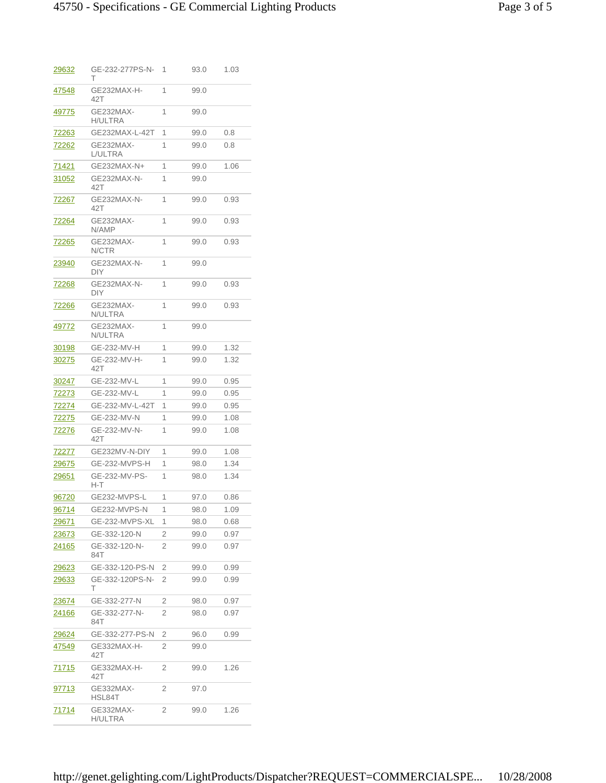| 29632         | GE-232-277PS-N-<br>т        | 1 | 93.0 | 1.03 |
|---------------|-----------------------------|---|------|------|
| 47548         | GE232MAX-H-<br>42T          | 1 | 99.0 |      |
| 49775         | GE232MAX-<br><b>H/ULTRA</b> | 1 | 99.0 |      |
| 72263         | GE232MAX-L-42T              | 1 | 99.0 | 0.8  |
| <u>72262</u>  | GE232MAX-<br>L/ULTRA        | 1 | 99.0 | 0.8  |
| <u>71421</u>  | GE232MAX-N+                 | 1 | 99.0 | 1.06 |
| 31052         | GE232MAX-N-<br>42T          | 1 | 99.0 |      |
| 72267         | GE232MAX-N-<br>42T          | 1 | 99.0 | 0.93 |
| 72264         | GE232MAX-<br>N/AMP          | 1 | 99.0 | 0.93 |
| 72265         | GE232MAX-<br>N/CTR          | 1 | 99.0 | 0.93 |
| 23940         | GE232MAX-N-<br>DIY          | 1 | 99.0 |      |
| 72268         | GE232MAX-N-<br><b>DIY</b>   | 1 | 99.0 | 0.93 |
| 72266         | GE232MAX-<br>N/ULTRA        | 1 | 99.0 | 0.93 |
| 49772         | GE232MAX-<br>N/ULTRA        | 1 | 99.0 |      |
| 30198         | GE-232-MV-H                 | 1 | 99.0 | 1.32 |
| 30275         | GE-232-MV-H-<br>42T         | 1 | 99.0 | 1.32 |
| <u>30247</u>  | GE-232-MV-L                 | 1 | 99.0 | 0.95 |
| 72273         | GE-232-MV-L                 | 1 | 99.0 | 0.95 |
| <u>72274</u>  | GE-232-MV-L-42T             | 1 | 99.0 | 0.95 |
| <u>72275</u>  | GE-232-MV-N                 | 1 | 99.0 | 1.08 |
| 72276         | GE-232-MV-N-<br>42T         | 1 | 99.0 | 1.08 |
| <u>72277</u>  | GE232MV-N-DIY               | 1 | 99.0 | 1.08 |
| 29675         | <b>GE-232-MVPS-H</b>        | 1 | 98.0 | 1.34 |
| 29651         | GE-232-MV-PS-<br>H-T        | 1 | 98.0 | 1.34 |
| 96720         | GE232-MVPS-L                | 1 | 97.0 | 0.86 |
| 96714         | GE232-MVPS-N                | 1 | 98.0 | 1.09 |
| <u> 29671</u> | GE-232-MVPS-XL              | 1 | 98.0 | 0.68 |
| 23673         | GE-332-120-N                | 2 | 99.0 | 0.97 |
| 24165         | GE-332-120-N-<br>84T        | 2 | 99.0 | 0.97 |
| 29623         | GE-332-120-PS-N             | 2 | 99.0 | 0.99 |
| 29633         | GE-332-120PS-N-<br>т        | 2 | 99.0 | 0.99 |
| 23674         | GE-332-277-N                | 2 | 98.0 | 0.97 |
| 24166         | GE-332-277-N-<br>84T        | 2 | 98.0 | 0.97 |
| <u> 29624</u> | GE-332-277-PS-N             | 2 | 96.0 | 0.99 |
| 47549         | GE332MAX-H-<br>42T          | 2 | 99.0 |      |
| 71715         | GE332MAX-H-<br>42T          | 2 | 99.0 | 1.26 |
| <u>97713</u>  | GE332MAX-<br>HSL84T         | 2 | 97.0 |      |
| 71714         | GE332MAX-<br>H/ULTRA        | 2 | 99.0 | 1.26 |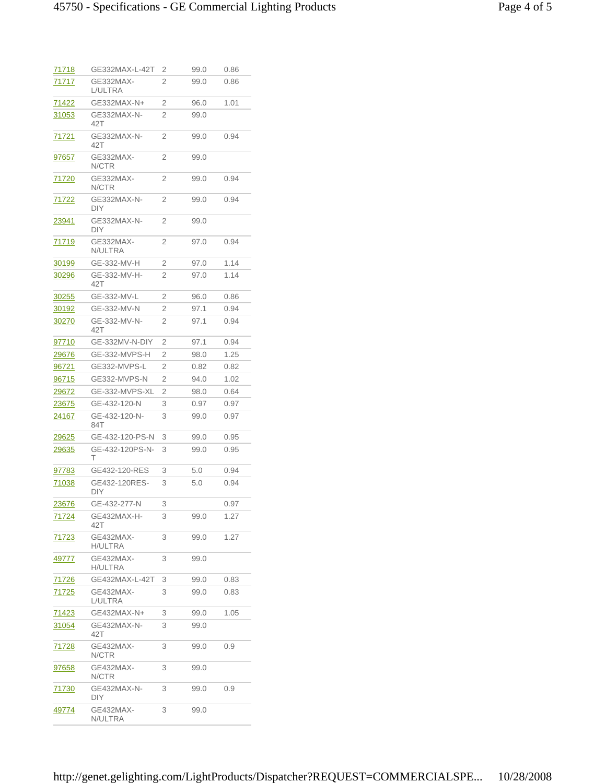| <u>71718</u>  | GE332MAX-L-42T              | 2 | 99.0 | 0.86 |
|---------------|-----------------------------|---|------|------|
| 71717         | GE332MAX-<br>L/ULTRA        | 2 | 99.0 | 0.86 |
| 71422         | GE332MAX-N+                 | 2 | 96.0 | 1.01 |
| 31053         | GE332MAX-N-<br>42T          | 2 | 99.0 |      |
| <u>71721</u>  | GE332MAX-N-<br>42T          | 2 | 99.0 | 0.94 |
| <u>97657</u>  | GE332MAX-<br>N/CTR          | 2 | 99.0 |      |
| <u>71720</u>  | GE332MAX-<br>N/CTR          | 2 | 99.0 | 0.94 |
| 71722         | GE332MAX-N-<br>DIY          | 2 | 99.0 | 0.94 |
| 23941         | GE332MAX-N-<br>DIY          | 2 | 99.0 |      |
| <u>71719</u>  | GE332MAX-<br>N/ULTRA        | 2 | 97.0 | 0.94 |
| 30199         | GE-332-MV-H                 | 2 | 97.0 | 1.14 |
| 30296         | GE-332-MV-H-<br>42T         | 2 | 97.0 | 1.14 |
| <u>30255</u>  | GE-332-MV-L                 | 2 | 96.0 | 0.86 |
| 30192         | GE-332-MV-N                 | 2 | 97.1 | 0.94 |
| 30270         | GE-332-MV-N-<br>42T         | 2 | 97.1 | 0.94 |
| <u>97710</u>  | GE-332MV-N-DIY              | 2 | 97.1 | 0.94 |
| <u> 29676</u> | GE-332-MVPS-H               | 2 | 98.0 | 1.25 |
| <u>96721</u>  | GE332-MVPS-L                | 2 | 0.82 | 0.82 |
| <u>96715</u>  | GE332-MVPS-N                | 2 | 94.0 | 1.02 |
| <u> 29672</u> | GE-332-MVPS-XL              | 2 | 98.0 | 0.64 |
| <u>23675</u>  | GE-432-120-N                | 3 | 0.97 | 0.97 |
| 24167         | GE-432-120-N-<br>84T        | 3 | 99.0 | 0.97 |
| 29625         | GE-432-120-PS-N             | 3 | 99.0 | 0.95 |
| <u> 29635</u> | GE-432-120PS-N-<br>т        | 3 | 99.0 | 0.95 |
| 97783         | GE432-120-RES               | 3 | 5.0  | 0.94 |
| 71038         | GE432-120RES-<br>DIY.       | 3 | 5.0  | 0.94 |
| <u> 23676</u> | GE-432-277-N                | 3 |      | 0.97 |
| 71724         | GE432MAX-H-<br>42T          | 3 | 99.0 | 1.27 |
| 71723         | GE432MAX-<br><b>H/ULTRA</b> | 3 | 99.0 | 1.27 |
| <u>49777</u>  | GE432MAX-<br><b>H/ULTRA</b> | 3 | 99.0 |      |
| <u>71726</u>  | GE432MAX-L-42T              | 3 | 99.0 | 0.83 |
| <u>71725</u>  | GE432MAX-<br>L/ULTRA        | 3 | 99.0 | 0.83 |
| 71423         | GE432MAX-N+                 | 3 | 99.0 | 1.05 |
| 31054         | GE432MAX-N-<br>42T          | 3 | 99.0 |      |
| 71728         | GE432MAX-<br>N/CTR          | 3 | 99.0 | 0.9  |
| 97658         | GE432MAX-<br>N/CTR          | 3 | 99.0 |      |
| 71730         | GE432MAX-N-<br>DIY          | 3 | 99.0 | 0.9  |
| <u>49774</u>  | GE432MAX-<br>N/ULTRA        | 3 | 99.0 |      |